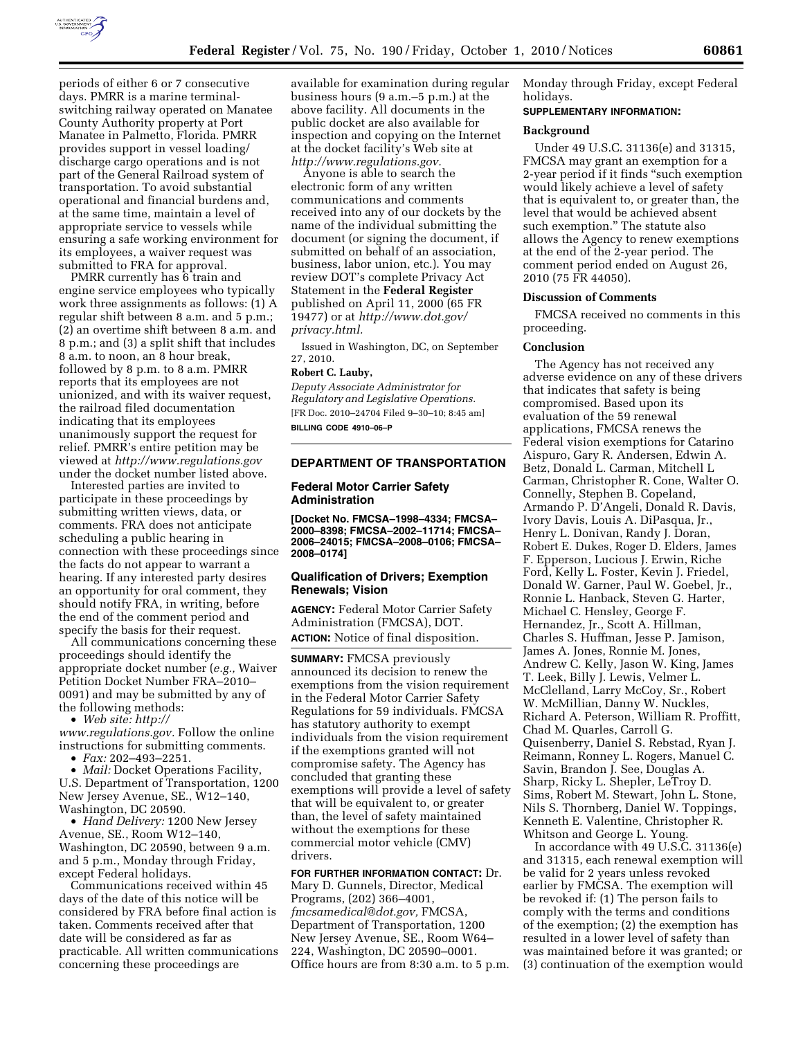

periods of either 6 or 7 consecutive days. PMRR is a marine terminalswitching railway operated on Manatee County Authority property at Port Manatee in Palmetto, Florida. PMRR provides support in vessel loading/ discharge cargo operations and is not part of the General Railroad system of transportation. To avoid substantial operational and financial burdens and, at the same time, maintain a level of appropriate service to vessels while ensuring a safe working environment for its employees, a waiver request was submitted to FRA for approval.

PMRR currently has 6 train and engine service employees who typically work three assignments as follows: (1) A regular shift between 8 a.m. and 5 p.m.; (2) an overtime shift between 8 a.m. and 8 p.m.; and (3) a split shift that includes 8 a.m. to noon, an 8 hour break, followed by 8 p.m. to 8 a.m. PMRR reports that its employees are not unionized, and with its waiver request, the railroad filed documentation indicating that its employees unanimously support the request for relief. PMRR's entire petition may be viewed at *<http://www.regulations.gov>* under the docket number listed above.

Interested parties are invited to participate in these proceedings by submitting written views, data, or comments. FRA does not anticipate scheduling a public hearing in connection with these proceedings since the facts do not appear to warrant a hearing. If any interested party desires an opportunity for oral comment, they should notify FRA, in writing, before the end of the comment period and specify the basis for their request.

All communications concerning these proceedings should identify the appropriate docket number (*e.g.,* Waiver Petition Docket Number FRA–2010– 0091) and may be submitted by any of the following methods:

• *Web site: [http://](http://www.regulations.gov)* 

*[www.regulations.gov.](http://www.regulations.gov)* Follow the online instructions for submitting comments. • *Fax:* 202–493–2251.

• *Mail:* Docket Operations Facility,

U.S. Department of Transportation, 1200 New Jersey Avenue, SE., W12–140, Washington, DC 20590.

• *Hand Delivery:* 1200 New Jersey Avenue, SE., Room W12–140, Washington, DC 20590, between 9 a.m. and 5 p.m., Monday through Friday, except Federal holidays.

Communications received within 45 days of the date of this notice will be considered by FRA before final action is taken. Comments received after that date will be considered as far as practicable. All written communications concerning these proceedings are

available for examination during regular business hours (9 a.m.–5 p.m.) at the above facility. All documents in the public docket are also available for inspection and copying on the Internet at the docket facility's Web site at *[http://www.regulations.gov.](http://www.regulations.gov)* 

Anyone is able to search the electronic form of any written communications and comments received into any of our dockets by the name of the individual submitting the document (or signing the document, if submitted on behalf of an association, business, labor union, etc.). You may review DOT's complete Privacy Act Statement in the **Federal Register**  published on April 11, 2000 (65 FR 19477) or at *[http://www.dot.gov/](http://www.dot.gov/privacy.html)  [privacy.html.](http://www.dot.gov/privacy.html)* 

Issued in Washington, DC, on September 27, 2010.

# **Robert C. Lauby,**

*Deputy Associate Administrator for Regulatory and Legislative Operations.*  [FR Doc. 2010–24704 Filed 9–30–10; 8:45 am] **BILLING CODE 4910–06–P** 

**DEPARTMENT OF TRANSPORTATION** 

### **Federal Motor Carrier Safety Administration**

**[Docket No. FMCSA–1998–4334; FMCSA– 2000–8398; FMCSA–2002–11714; FMCSA– 2006–24015; FMCSA–2008–0106; FMCSA– 2008–0174]** 

### **Qualification of Drivers; Exemption Renewals; Vision**

**AGENCY:** Federal Motor Carrier Safety Administration (FMCSA), DOT. **ACTION:** Notice of final disposition.

**SUMMARY:** FMCSA previously announced its decision to renew the exemptions from the vision requirement in the Federal Motor Carrier Safety Regulations for 59 individuals. FMCSA has statutory authority to exempt individuals from the vision requirement if the exemptions granted will not compromise safety. The Agency has concluded that granting these exemptions will provide a level of safety that will be equivalent to, or greater than, the level of safety maintained without the exemptions for these commercial motor vehicle (CMV) drivers.

**FOR FURTHER INFORMATION CONTACT:** Dr. Mary D. Gunnels, Director, Medical Programs, (202) 366–4001, *[fmcsamedical@dot.gov,](mailto:fmcsamedical@dot.gov)* FMCSA, Department of Transportation, 1200 New Jersey Avenue, SE., Room W64– 224, Washington, DC 20590–0001. Office hours are from 8:30 a.m. to 5 p.m. Monday through Friday, except Federal holidays.

### **SUPPLEMENTARY INFORMATION:**

### **Background**

Under 49 U.S.C. 31136(e) and 31315, FMCSA may grant an exemption for a 2-year period if it finds ''such exemption would likely achieve a level of safety that is equivalent to, or greater than, the level that would be achieved absent such exemption.'' The statute also allows the Agency to renew exemptions at the end of the 2-year period. The comment period ended on August 26, 2010 (75 FR 44050).

### **Discussion of Comments**

FMCSA received no comments in this proceeding.

#### **Conclusion**

The Agency has not received any adverse evidence on any of these drivers that indicates that safety is being compromised. Based upon its evaluation of the 59 renewal applications, FMCSA renews the Federal vision exemptions for Catarino Aispuro, Gary R. Andersen, Edwin A. Betz, Donald L. Carman, Mitchell L Carman, Christopher R. Cone, Walter O. Connelly, Stephen B. Copeland, Armando P. D'Angeli, Donald R. Davis, Ivory Davis, Louis A. DiPasqua, Jr., Henry L. Donivan, Randy J. Doran, Robert E. Dukes, Roger D. Elders, James F. Epperson, Lucious J. Erwin, Riche Ford, Kelly L. Foster, Kevin J. Friedel, Donald W. Garner, Paul W. Goebel, Jr., Ronnie L. Hanback, Steven G. Harter, Michael C. Hensley, George F. Hernandez, Jr., Scott A. Hillman, Charles S. Huffman, Jesse P. Jamison, James A. Jones, Ronnie M. Jones, Andrew C. Kelly, Jason W. King, James T. Leek, Billy J. Lewis, Velmer L. McClelland, Larry McCoy, Sr., Robert W. McMillian, Danny W. Nuckles, Richard A. Peterson, William R. Proffitt, Chad M. Quarles, Carroll G. Quisenberry, Daniel S. Rebstad, Ryan J. Reimann, Ronney L. Rogers, Manuel C. Savin, Brandon J. See, Douglas A. Sharp, Ricky L. Shepler, LeTroy D. Sims, Robert M. Stewart, John L. Stone, Nils S. Thornberg, Daniel W. Toppings, Kenneth E. Valentine, Christopher R. Whitson and George L. Young.

In accordance with 49 U.S.C. 31136(e) and 31315, each renewal exemption will be valid for 2 years unless revoked earlier by FMCSA. The exemption will be revoked if: (1) The person fails to comply with the terms and conditions of the exemption; (2) the exemption has resulted in a lower level of safety than was maintained before it was granted; or (3) continuation of the exemption would